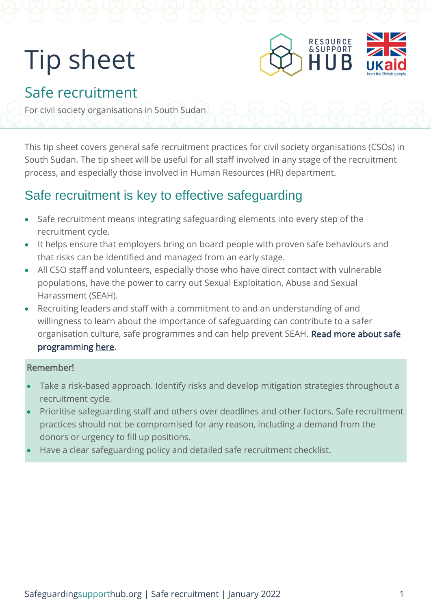# Tip sheet



# Safe recruitment

For civil society organisations in South Sudan

This tip sheet covers general safe recruitment practices for civil society organisations (CSOs) in South Sudan. The tip sheet will be useful for all staff involved in any stage of the recruitment process, and especially those involved in Human Resources (HR) department.

### Safe recruitment is key to effective safeguarding

- Safe recruitment means integrating safeguarding elements into every step of the recruitment cycle.
- It helps ensure that employers bring on board people with proven safe behaviours and that risks can be identified and managed from an early stage.
- All CSO staff and volunteers, especially those who have direct contact with vulnerable populations, have the power to carry out Sexual Exploitation, Abuse and Sexual Harassment (SEAH).
- Recruiting leaders and staff with a commitment to and an understanding of and willingness to learn about the importance of safeguarding can contribute to a safer organisation culture, safe programmes and can help prevent SEAH. Read more about safe [programming here.](https://safeguardingsupporthub.org/documents/how-design-and-deliver-safe-programmes)

#### Remember!

- Take a risk-based approach. Identify risks and develop mitigation strategies throughout a recruitment cycle.
- Prioritise safeguarding staff and others over deadlines and other factors. Safe recruitment practices should not be compromised for any reason, including a demand from the donors or urgency to fill up positions.
- Have a clear safeguarding policy and detailed safe recruitment checklist.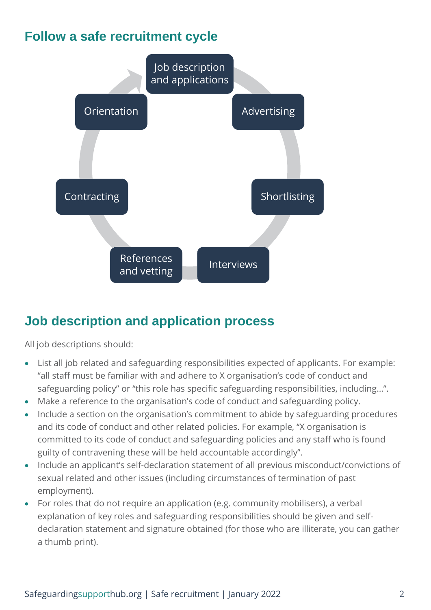## **Follow a safe recruitment cycle**



## **Job description and application process**

All job descriptions should:

- List all job related and safeguarding responsibilities expected of applicants. For example: "all staff must be familiar with and adhere to X organisation's code of conduct and safeguarding policy" or "this role has specific safeguarding responsibilities, including…".
- Make a reference to the organisation's code of conduct and safeguarding policy.
- Include a section on the organisation's commitment to abide by safeguarding procedures and its code of conduct and other related policies. For example, "X organisation is committed to its code of conduct and safeguarding policies and any staff who is found guilty of contravening these will be held accountable accordingly".
- Include an applicant's self-declaration statement of all previous misconduct/convictions of sexual related and other issues (including circumstances of termination of past employment).
- For roles that do not require an application (e.g. community mobilisers), a verbal explanation of key roles and safeguarding responsibilities should be given and selfdeclaration statement and signature obtained (for those who are illiterate, you can gather a thumb print).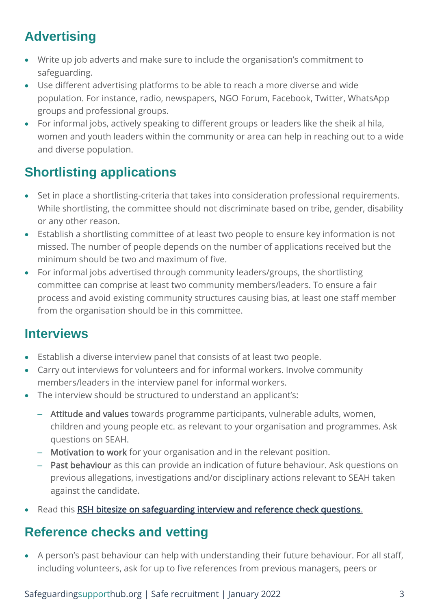# **Advertising**

- Write up job adverts and make sure to include the organisation's commitment to safeguarding.
- Use different advertising platforms to be able to reach a more diverse and wide population. For instance, radio, newspapers, NGO Forum, Facebook, Twitter, WhatsApp groups and professional groups.
- For informal jobs, actively speaking to different groups or leaders like the sheik al hila, women and youth leaders within the community or area can help in reaching out to a wide and diverse population.

# **Shortlisting applications**

- Set in place a shortlisting-criteria that takes into consideration professional requirements. While shortlisting, the committee should not discriminate based on tribe, gender, disability or any other reason.
- Establish a shortlisting committee of at least two people to ensure key information is not missed. The number of people depends on the number of applications received but the minimum should be two and maximum of five.
- For informal jobs advertised through community leaders/groups, the shortlisting committee can comprise at least two community members/leaders. To ensure a fair process and avoid existing community structures causing bias, at least one staff member from the organisation should be in this committee.

### **Interviews**

- Establish a diverse interview panel that consists of at least two people.
- Carry out interviews for volunteers and for informal workers. Involve community members/leaders in the interview panel for informal workers.
- The interview should be structured to understand an applicant's:
	- Attitude and values towards programme participants, vulnerable adults, women, children and young people etc. as relevant to your organisation and programmes. Ask questions on SEAH.
	- Motivation to work for your organisation and in the relevant position.
	- Past behaviour as this can provide an indication of future behaviour. Ask questions on previous allegations, investigations and/or disciplinary actions relevant to SEAH taken against the candidate.
- Read this [RSH bitesize on safeguarding interview and reference check questions.](https://safeguardingsupporthub.org/documents/bitesize-safeguarding-interview-and-reference-check-questions)

### **Reference checks and vetting**

• A person's past behaviour can help with understanding their future behaviour. For all staff, including volunteers, ask for up to five references from previous managers, peers or

#### Safeguardingsupporthub.org | Safe recruitment | January 2022